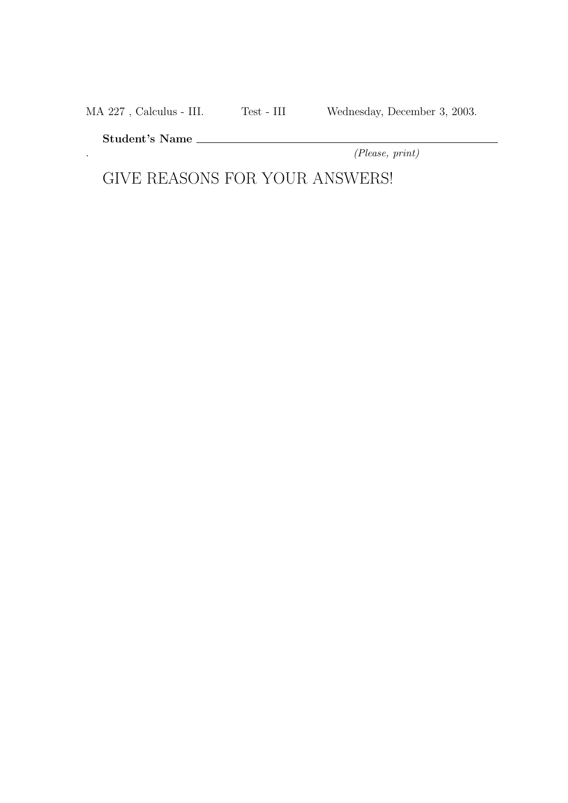MA 227 , Calculus - III. Test - III Wednesday, December 3, 2003.

Student's Name

. (Please, print)

GIVE REASONS FOR YOUR ANSWERS!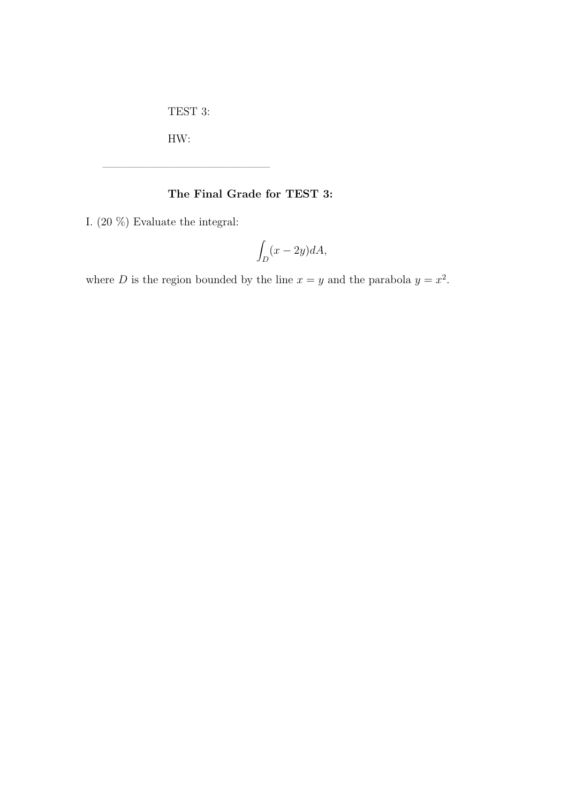TEST 3:

———————————————

HW:

## The Final Grade for TEST 3:

I. (20 %) Evaluate the integral:

$$
\int_D (x - 2y)dA,
$$

where D is the region bounded by the line  $x = y$  and the parabola  $y = x^2$ .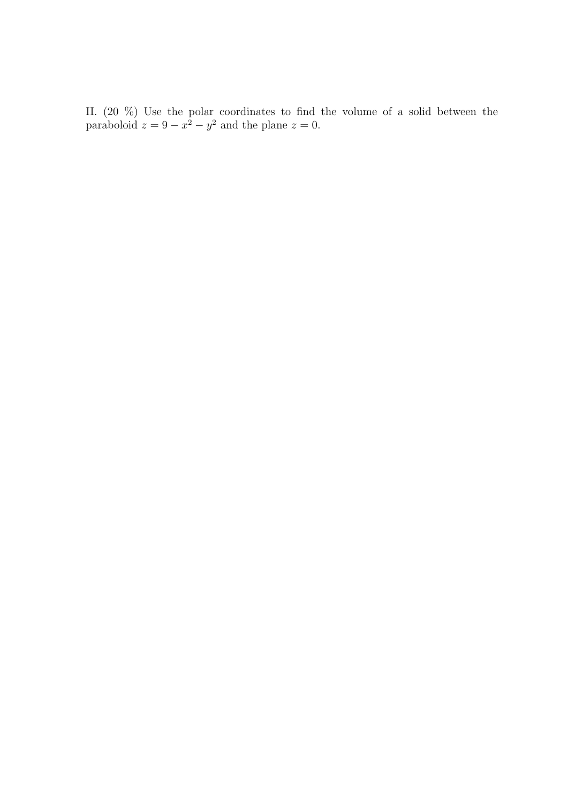II. (20 %) Use the polar coordinates to find the volume of a solid between the paraboloid  $z = 9 - x^2 - y^2$  and the plane  $z = 0$ .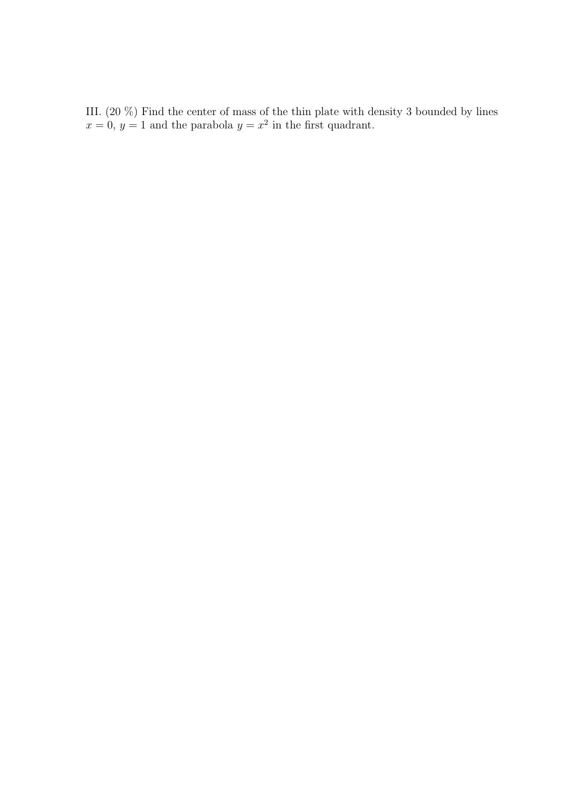III. (20 %) Find the center of mass of the thin plate with density 3 bounded by lines  $x = 0, y = 1$  and the parabola  $y = x^2$  in the first quadrant.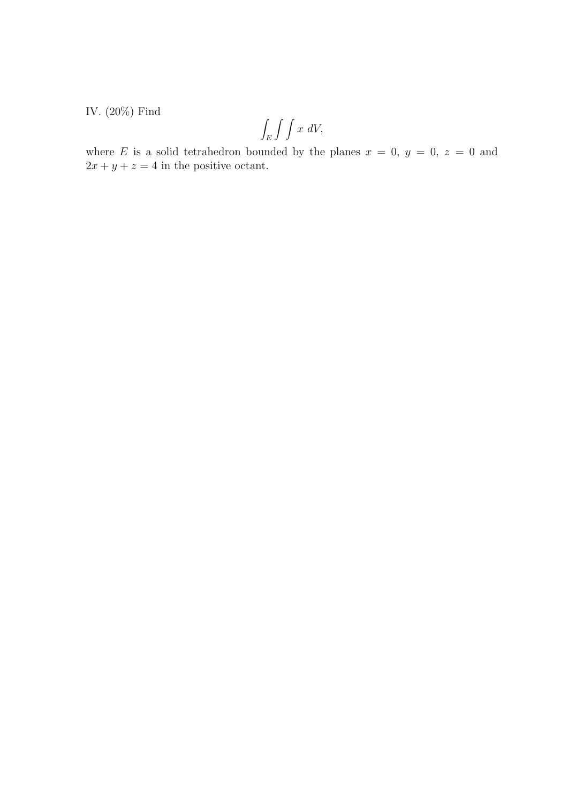IV. (20%) Find

$$
\int_E \int \int x \ dV,
$$

where E is a solid tetrahedron bounded by the planes  $x = 0, y = 0, z = 0$  and  $2x + y + z = 4$  in the positive octant.